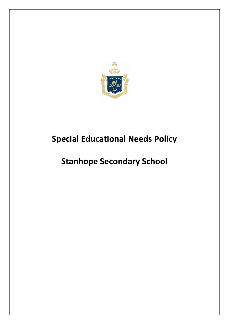

# **Special Educational Needs Policy**

# **Stanhope Secondary School**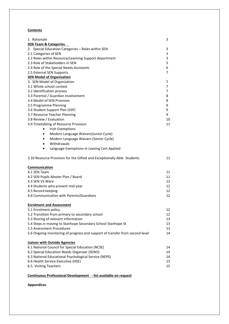#### **Contents**

| 1 Rationale                                                                  | 3  |
|------------------------------------------------------------------------------|----|
| <b>SEN Team &amp; Categories</b>                                             |    |
| 2. Special Education Categories - Roles within SEN                           | 3  |
| 2.1 Categories of SEN                                                        | 3  |
| 2.2 Roles within Resource/Learning Support department                        | 3  |
| 2.3 Role of Stakeholders in SEN                                              | 5  |
| 2.4 Role of the Special Needs Assistants                                     | 6  |
| 2.5 External SEN Supports                                                    | 7  |
| <b>SEN Model of Organisation</b>                                             |    |
| 3. SEN Model of Organisation                                                 | 7  |
| 3.1 Whole school context                                                     | 7  |
| 3.2 Identification process                                                   | 7  |
| 3.3 Parental / Guardian Involvement                                          | 8  |
| 3.4 Model of SEN Provision                                                   | 8  |
| 3.5 Programme Planning                                                       | 9  |
| 3.6 Student Support Plan (SSP)                                               | 9  |
| 3.7 Resource Teacher Planning                                                | 9  |
| 3.8 Review / Evaluation                                                      | 10 |
| 3.9 Timetabling of Resource Provision                                        | 11 |
| <b>Irish Exemptions</b><br>$\bullet$                                         |    |
| Modern Language Waivers(Junior Cycle)<br>$\bullet$                           |    |
| Modern Language Waivers (Senior Cycle)<br>$\bullet$                          |    |
| Withdrawals<br>$\bullet$                                                     |    |
| Language Exemptions in Leaving Cert Applied<br>$\bullet$                     |    |
| 3.10 Resource Provision for the Gifted and Exceptionally Able Students       | 11 |
|                                                                              |    |
| Communication                                                                |    |
| 4.1 SEN Team                                                                 | 11 |
| 4.2 SEN Pupils Master Plan / Board                                           | 11 |
| 4.3 SEN VS Ware                                                              | 12 |
| 4.4 Students who present mid-year                                            | 12 |
| 4.5 Record keeping                                                           | 12 |
| 4.6 Communication with Parents/Guardians                                     | 12 |
| <b>Enrolment and Assessment</b>                                              |    |
| 5.1 Enrolment policy                                                         | 12 |
| 5.2 Transition from primary to secondary school                              | 12 |
| 5.3 Sharing of relevant information                                          | 13 |
| 5.4 Steps in moving to Stanhope Secondary School Stanhope St                 | 13 |
| 5.5 Assessment Procedures                                                    | 13 |
| 5.6 Ongoing monitoring of progress and support of transfer from second level | 14 |
| <b>Liaison with Outside Agencies</b>                                         |    |
| 6.1 National Council for Special Education (NCSE)                            | 14 |
| 6.2 Special Education Needs Organiser (SENO)                                 | 14 |
|                                                                              | 14 |
| 6.3 National Educational Psychological Service (NEPS)                        | 15 |
| 6.4 Health Service Executive (HSE)<br>6.5. Visiting Teachers                 | 15 |

#### **Continuous Professional Development - list available on request**

#### **Appendices**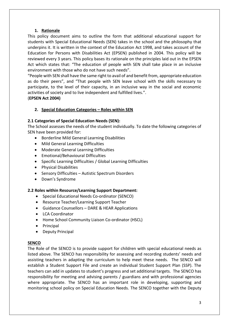## **1. Rationale**

This policy document aims to outline the form that additional educational support for students with Special Educational Needs (SEN) takes in the school and the philosophy that underpins it. It is written in the context of the Education Act 1998, and takes account of the Education for Persons with Disabilities Act (EPSEN) published in 2004. This policy will be reviewed every 3 years. This policy bases its rationale on the principles laid out in the EPSEN Act which states that: "The education of people with SEN shall take place in an inclusive environment with those who do not have such needs".

"People with SEN shall have the same right to avail of and benefit from, appropriate education as do their peers", and "That people with SEN leave school with the skills necessary to participate, to the level of their capacity, in an inclusive way in the social and economic activities of society and to live independent and fulfilled lives.".

(**EPSEN Act 2004)**

# **2. Special Education Categories – Roles within SEN**

## **2.1 Categories of Special Education Needs (SEN):**

The School assesses the needs of the student individually. To date the following categories of SEN have been provided for:

- Borderline Mild General Learning Disabilities
- Mild General Learning Difficulties
- Moderate General Learning Difficulties
- Emotional/Behavioural Difficulties
- Specific Learning Difficulties / Global Learning Difficulties
- **•** Physical Disabilities
- Sensory Difficulties Autistic Spectrum Disorders
- Down's Syndrome

## **2.2 Roles within Resource/Learning Support Department:**

- Special Educational Needs Co-ordinator (SENCO)
- Resource Teacher/Learning Support Teacher
- Guidance Counsellors DARE & HEAR Applications
- LCA Coordinator
- Home School Community Liaison Co-ordinator (HSCL)
- Principal
- Deputy Principal

#### **SENCO**

The Role of the SENCO is to provide support for children with special educational needs as listed above. The SENCO has responsibility for assessing and recording students' needs and assisting teachers in adapting the curriculum to help meet these needs. The SENCO will establish a Student Support File and create an individual Student Support Plan (SSP). The teachers can add in updates to student's progress and set additional targets. The SENCO has responsibility for meeting and advising parents / guardians and with professional agencies where appropriate. The SENCO has an important role in developing, supporting and monitoring school policy on Special Education Needs. The SENCO together with the Deputy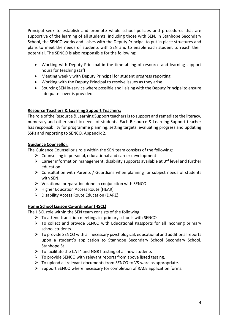Principal seek to establish and promote whole school policies and procedures that are supportive of the learning of all students, including those with SEN. In Stanhope Secondary School, the SENCO works and liaises with the Deputy Principal to put in place structures and plans to meet the needs of students with SEN and to enable each student to reach their potential. The SENCO is also responsible for the following:

- Working with Deputy Principal in the timetabling of resource and learning support hours for teaching staff
- Meeting weekly with Deputy Principal for student progress reporting.
- Working with the Deputy Principal to resolve issues as they arise.
- Sourcing SEN in-service where possible and liaising with the Deputy Principal to ensure adequate cover is provided.

## **Resource Teachers & Learning Support Teachers:**

The role of the Resource & Learning Support teachersis to support and remediate the literacy, numeracy and other specific needs of students. Each Resource & Learning Support teacher has responsibility for programme planning, setting targets, evaluating progress and updating SSPs and reporting to SENCO. Appendix 2.

#### **Guidance Counsellor:**

The Guidance Counsellor's role within the SEN team consists of the following:

- $\triangleright$  Counselling in personal, educational and career development.
- $\triangleright$  Career information management, disability supports available at 3<sup>rd</sup> level and further education.
- $\triangleright$  Consultation with Parents / Guardians when planning for subject needs of students with SEN.
- $\triangleright$  Vocational preparation done in conjunction with SENCO
- $\triangleright$  Higher Education Access Route (HEAR)
- $\triangleright$  Disability Access Route Education (DARE)

## **Home School Liaison Co-ordinator (HSCL)**

The HSCL role within the SEN team consists of the following

- $\triangleright$  To attend transition meetings in primary schools with SENCO
- $\triangleright$  To collect and provide SENCO with Educational Passports for all incoming primary school students.
- $\triangleright$  To provide SENCO with all necessary psychological, educational and additional reports upon a student's application to Stanhope Secondary School Secondary School, Stanhope St.
- $\triangleright$  To facilitate the CAT4 and NGRT testing of all new students
- $\triangleright$  To provide SENCO with relevant reports from above listed testing.
- $\triangleright$  To upload all relevant documents from SENCO to VS ware as appropriate.
- $\triangleright$  Support SENCO where necessary for completion of RACE application forms.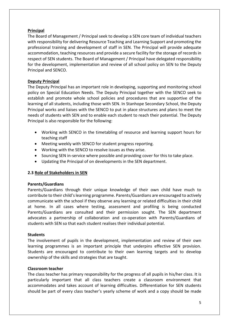## **Principal**

The Board of Management / Principal seek to develop a SEN core team of individual teachers with responsibility for delivering Resource Teaching and Learning Support and promoting the professional training and development of staff in SEN. The Principal will provide adequate accommodation, teaching resources and provide a secure facility for the storage of records in respect of SEN students. The Board of Management / Principal have delegated responsibility for the development, implementation and review of all school policy on SEN to the Deputy Principal and SENCO.

## **Deputy Principal**

The Deputy Principal has an important role in developing, supporting and monitoring school policy on Special Education Needs. The Deputy Principal together with the SENCO seek to establish and promote whole school policies and procedures that are supportive of the learning of all students, including those with SEN. In Stanhope Secondary School, the Deputy Principal works and liaises with the SENCO to put in place structures and plans to meet the needs of students with SEN and to enable each student to reach their potential. The Deputy Principal is also responsible for the following:

- Working with SENCO in the timetabling of resource and learning support hours for teaching staff
- Meeting weekly with SENCO for student progress reporting.
- Working with the SENCO to resolve issues as they arise.
- Sourcing SEN in-service where possible and providing cover for this to take place.
- Updating the Principal of on developments in the SEN department.

## **2.3 Role of Stakeholders in SEN**

## **Parents/Guardians**

Parents/Guardians through their unique knowledge of their own child have much to contribute to their child's learning programme. Parents/Guardians are encouraged to actively communicate with the school if they observe any learning or related difficulties in their child at home. In all cases where testing, assessment and profiling is being conducted Parents/Guardians are consulted and their permission sought. The SEN department advocates a partnership of collaboration and co-operation with Parents/Guardians of students with SEN so that each student realises their individual potential.

## **Students**

The involvement of pupils in the development, implementation and review of their own learning programmes is an important principle that underpins effective SEN provision. Students are encouraged to contribute to their own learning targets and to develop ownership of the skills and strategies that are taught.

## **Classroom teacher**

The class teacher has primary responsibility for the progress of all pupils in his/her class. It is particularly important that all class teachers create a classroom environment that accommodates and takes account of learning difficulties. Differentiation for SEN students should be part of every class teacher's yearly scheme of work and a copy should be made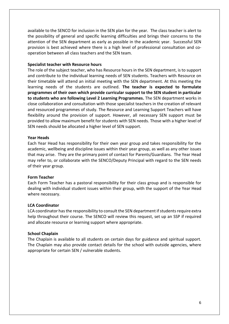available to the SENCO for inclusion in the SEN plan for the year. The class teacher is alert to the possibility of general and specific learning difficulties and brings their concerns to the attention of the SEN department as early as possible in the academic year. Successful SEN provision is best achieved where there is a high level of professional consultation and cooperation between all class teachers and the SEN team.

#### **Specialist teacher with Resource hours**

The role of the subject teacher, who has Resource hours in the SEN department, is to support and contribute to the individual learning needs of SEN students. Teachers with Resource on their timetable will attend an initial meeting with the SEN department. At this meeting the learning needs of the students are outlined. **The teacher is expected to formulate programmes of their own which provide curricular support to the SEN student in particular to students who are following Level 2 Learning Programmes.** The SEN department works in close collaboration and consultation with those specialist teachers in the creation of relevant and resourced programmes of study. The Resource and Learning Support Teachers will have flexibility around the provision of support. However, all necessary SEN support must be provided to allow maximum benefit for students with SEN needs. Those with a higher level of SEN needs should be allocated a higher level of SEN support.

#### **Year Heads**

Each Year Head has responsibility for their own year group and takes responsibility for the academic, wellbeing and discipline issues within their year group, as well as any other issues that may arise. They are the primary point of contact for Parents/Guardians. The Year Head may refer to, or collaborate with the SENCO/Deputy Principal with regard to the SEN needs of their year group.

#### **Form Teacher**

Each Form Teacher has a pastoral responsibility for their class group and is responsible for dealing with individual student issues within their group, with the support of the Year Head where necessary.

#### **LCA Coordinator**

LCA coordinator has the responsibility to consult the SEN department if students require extra help throughout their course. The SENCO will review this request, set up an SSP if required and allocate resource or learning support where appropriate.

#### **School Chaplain**

The Chaplain is available to all students on certain days for guidance and spiritual support. The Chaplain may also provide contact details for the school with outside agencies, where appropriate for certain SEN / vulnerable students.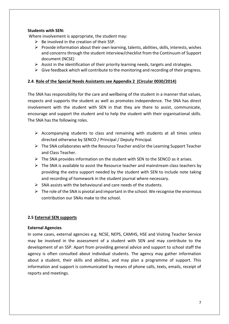## **Students with SEN:**

Where involvement is appropriate, the student may:

- $\triangleright$  Be involved in the creation of their SSP.
- $\triangleright$  Provide information about their own learning, talents, abilities, skills, interests, wishes and concerns through the student interview/checklist from the Continuum of Support document (NCSE)
- $\triangleright$  Assist in the identification of their priority learning needs, targets and strategies.
- $\triangleright$  Give feedback which will contribute to the monitoring and recording of their progress.

#### **2.4**. **Role of the Special Needs Assistants see Appendix 2 (Circular 0030/2014)**

The SNA has responsibility for the care and wellbeing of the student in a manner that values, respects and supports the student as well as promotes independence. The SNA has direct involvement with the student with SEN in that they are there to assist, communicate, encourage and support the student and to help the student with their organisational skills. The SNA has the following roles.

- $\triangleright$  Accompanying students to class and remaining with students at all times unless directed otherwise by SENCO / Principal / Deputy Principal.
- $\triangleright$  The SNA collaborates with the Resource Teacher and/or the Learning Support Teacher and Class Teacher.
- $\triangleright$  The SNA provides information on the student with SEN to the SENCO as it arises.
- $\triangleright$  The SNA is available to assist the Resource teacher and mainstream class teachers by providing the extra support needed by the student with SEN to include note taking and recording of homework in the student journal where necessary.
- $\triangleright$  SNA assists with the behavioural and care needs of the students.
- $\triangleright$  The role of the SNA is pivotal and important in the school. We recognise the enormous contribution our SNAs make to the school.

## **2.5 External SEN supports**

#### **External Agencies**

In some cases, external agencies e.g. NCSE, NEPS, CAMHS, HSE and Visiting Teacher Service may be involved in the assessment of a student with SEN and may contribute to the development of an SSP. Apart from providing general advice and support to school staff the agency is often consulted about individual students. The agency may gather information about a student, their skills and abilities, and may plan a programme of support. This information and support is communicated by means of phone calls, texts, emails, receipt of reports and meetings.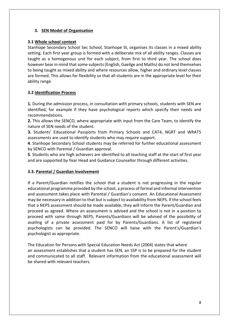# **3. SEN Model of Organisation**

# **3.1 Whole school context**

Stanhope Secondary School Sec School, Stanhope St, organises its classes in a mixed ability setting. Each first year group is formed with a deliberate mix of all ability ranges. Classes are taught as a homogenous unit for each subject, from first to third year. The school does however bearin mind that some subjects (English, Gaeilge and Maths) do not lend themselves to being taught as mixed ability and where resources allow, higher and ordinary level classes are formed. This allows for flexibility so that all students are in the appropriate level for their ability range.

# **3.2 Identification Process**

**1.** During the admission process, in consultation with primary schools, students with SEN are identified, for example if they have psychological reports which specify their needs and recommendations.

**2.** This allows the SENCO, where appropriate with input from the Care Team, to identify the nature of SEN needs of the student.

**3.** Students' Educational Passports from Primary Schools and CAT4, NGRT and WRAT5 assessments are used to identify students who may require support.

**4**. Stanhope Secondary School students may be referred for further educational assessment by SENCO with Parental / Guardian approval.

**5**. Students who are high achievers are identified to all teaching staff at the start of first year and are supported by Year Head and Guidance Counsellor through different activities.

## **3.3. Parental / Guardian Involvement**

If a Parent/Guardian notifies the school that a student is not progressing in the regular educational programme provided by the school, a process of formal and informal intervention and assessment takes place with Parental / Guardian's consent. An Educational Assessment may be necessary in addition to that but is subject to availability from NEPS. If the school feels that a NEPS assessment should be made available, they will inform the Parent/Guardian and proceed as agreed. Where an assessment is advised and the school is not in a position to proceed with same through NEPS, Parents/Guardians will be advised of the possibility of availing of a private assessment paid for by Parents/Guardians. A list of registered psychologists can be provided. The SENCO will liaise with the Parent's/Guardian's psychologist as appropriate.

The Education for Persons with Special Education Needs Act (2004) states that where an assessment establishes that a student has SEN, an SSP is to be prepared for the student and communicated to all staff. Relevant information from the educational assessment will be shared with relevant teachers.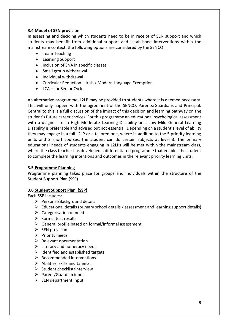## **3.4 Model of SEN provision**

In assessing and deciding which students need to be in receipt of SEN support and which students may benefit from additional support and established interventions within the mainstream context, the following options are considered by the SENCO:

- Team Teaching
- Learning Support
- Inclusion of SNA in specific classes
- Small group withdrawal
- Individual withdrawal
- Curricular Reduction Irish / Modern Language Exemption
- LCA for Senior Cycle

An alternative programme, L2LP may be provided to students where it is deemed necessary. This will only happen with the agreement of the SENCO, Parents/Guardians and Principal. Central to this is a full discussion of the impact of this decision and learning pathway on the student's future career choices. For this programme an educational psychological assessment with a diagnosis of a High Moderate Learning Disability or a Low Mild General Learning Disability is preferable and advised but not essential. Depending on a student's level of ability they may engage in a full L2LP or a tailored one, where in addition to the 5 priority learning units and 2 short courses, the student can do certain subjects at level 3. The primary educational needs of students engaging in L2LPs will be met within the mainstream class, where the class teacher has developed a differentiated programme that enables the student to complete the learning intentions and outcomes in the relevant priority learning units.

## **3.5 Programme Planning**

Programme planning takes place for groups and individuals within the structure of the Student Support Plan (SSP)

## **3.6 Student Support Plan (SSP)**

Each SSP includes:

- $\triangleright$  Personal/Background details
- $\triangleright$  Educational details (primary school details / assessment and learning support details)
- $\triangleright$  Categorisation of need
- $\triangleright$  Formal test results
- $\triangleright$  General profile based on formal/informal assessment
- $\triangleright$  SEN provision
- $\triangleright$  Priority needs
- $\triangleright$  Relevant documentation
- $\triangleright$  Literacy and numeracy needs
- $\triangleright$  Identified and established targets.
- $\triangleright$  Recommended interventions
- $\triangleright$  Abilities, skills and talents.
- $\triangleright$  Student checklist/interview
- $\triangleright$  Parent/Guardian input
- $\triangleright$  SEN department Input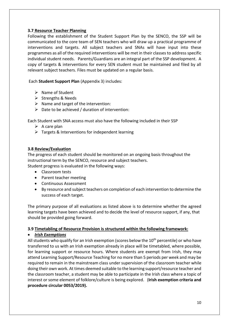## **3.7 Resource Teacher Planning**

Following the establishment of the Student Support Plan by the SENCO, the SSP will be communicated to the core team of SEN teachers who will draw up a practical programme of interventions and targets. All subject teachers and SNAs will have input into these programmes as all of the required interventions will be met in their classes to address specific individual student needs. Parents/Guardians are an integral part of the SSP development. A copy of targets & interventions for every SEN student must be maintained and filed by all relevant subject teachers. Files must be updated on a regular basis.

Each **Student Support Plan** (Appendix 3) includes:

- $\triangleright$  Name of Student
- $\triangleright$  Strengths & Needs
- $\triangleright$  Name and target of the intervention:
- $\triangleright$  Date to be achieved / duration of intervention:

Each Student with SNA access must also have the following included in their SSP

- $\triangleright$  A care plan
- $\triangleright$  Targets & Interventions for independent learning

## **3.8 Review/Evaluation**

The progress of each student should be monitored on an ongoing basis throughout the instructional term by the SENCO, resource and subject teachers. Student progress is evaluated in the following ways:

- Classroom tests
- Parent teacher meeting
- Continuous Assessment
- By resource and subject teachers on completion of each intervention to determine the success of each target.

The primary purpose of all evaluations as listed above is to determine whether the agreed learning targets have been achieved and to decide the level of resource support, if any, that should be provided going forward.

## **3.9 Timetabling of Resource Provision is structured within the following framework:**

## *Irish Exemptions*

All students who qualify for an Irish exemption (scores below the  $10<sup>th</sup>$  percentile) or who have transferred to us with an Irish exemption already in place will be timetabled, where possible, for learning support or resource hours. Where students are exempt from Irish, they may attend Learning Support/Resource Teaching for no more than 5 periods per week and may be required to remain in the mainstream class under supervision of the classroom teacher while doing their own work. At times deemed suitable to the learning support/resource teacher and the classroom teacher, a student may be able to participate in the Irish class where a topic of interest or some element of folklore/culture is being explored. (**Irish exemption criteria and procedure circular 0053/2019).**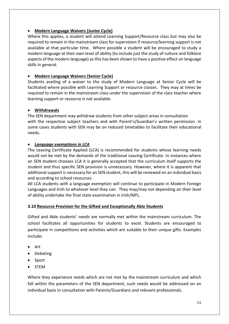## **Modern Language Waivers (Junior Cycle)**

Where this applies, a student will attend Learning Support/Resource class but may also be required to remain in the mainstream class for supervision if resource/learning support is not available at that particular time. Where possible a student will be encouraged to study a modern language at their own level of ability (to include just the study of culture and folklore aspects of the modern language) as this has been shown to have a positive effect on language skills in general.

# **Modern Language Waivers (Senior Cycle)**

Students availing of a waiver to the study of Modern Language at Senior Cycle will be facilitated where possible with Learning Support or resource classes. They may at times be required to remain in the mainstream class under the supervision of the class teacher where learning support or resource is not available.

# **Withdrawals**

The SEN department may withdraw students from other subject areas in consultation with the respective subject teachers and with Parent's/Guardian's written permission. In some cases students with SEN may be on reduced timetables to facilitate their educational needs.

# *Language exemptions in LCA*

The Leaving Certificate Applied (LCA) is recommended for students whose learning needs would not be met by the demands of the traditional Leaving Certificate. In instances where an SEN student chooses LCA it is generally accepted that the curriculum itself supports the student and thus specific SEN provision is unnecessary. However, where it is apparent that additional support is necessary for an SEN student, this will be reviewed on an individual basis and according to school resources.

All LCA students with a language exemption will continue to participate in Modern Foreign Languages and Irish to whatever level they can. They may/may not depending on their level of ability undertake the final state examination in Irish/MFL.

## **3.10 Resource Provision for the Gifted and Exceptionally Able Students**

Gifted and Able students' needs are normally met within the mainstream curriculum. The school facilitates all opportunities for students to excel. Students are encouraged to participate in competitions and activities which are suitable to their unique gifts. Examples include:

- Art
- Debating
- Sport
- STEM

Where they experience needs which are not met by the mainstream curriculum and which fall within the parameters of the SEN department, such needs would be addressed on an individual basis in consultation with Parents/Guardians and relevant professionals.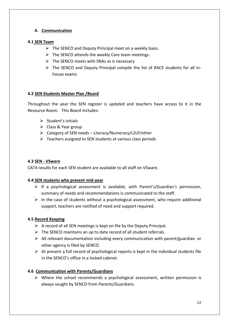# **4. Communication**

## **4.1 SEN Team**

- $\triangleright$  The SENCO and Deputy Principal meet on a weekly basis.
- $\triangleright$  The SENCO attends the weekly Care team meetings.
- $\triangleright$  The SENCO meets with SNAs as is necessary
- $\triangleright$  The SENCO and Deputy Principal compile the list of RACE students for all inhouse exams

# **4.2 SEN Students Master Plan /Board**

Throughout the year the SEN register is updated and teachers have access to it in the Resource Room. This Board includes:

- $\triangleright$  Student's initials
- $\triangleright$  Class & Year group
- Category of SEN needs Literacy/Numeracy/L2LP/other
- $\triangleright$  Teachers assigned to SEN students at various class periods

## **4.3 SEN - VSware**

CAT4 results for each SEN student are available to all staff on VSware.

## **4.4 SEN students who present mid-year**

- $\triangleright$  If a psychological assessment is available, with Parent's/Guardian's permission, summary of needs and recommendations is communicated to the staff.
- $\triangleright$  In the case of students without a psychological assessment, who require additional support, teachers are notified of need and support required.

## **4.5 Record Keeping**

- $\triangleright$  A record of all SEN meetings is kept on file by the Deputy Principal.
- $\triangleright$  The SENCO maintains an up to date record of all student referrals.
- $\triangleright$  All relevant documentation including every communication with parent/guardian or other agency is filed by SENCO.
- $\triangleright$  At present a full record of psychological reports is kept in the individual students file in the SENCO's office in a locked cabinet.

## **4.6 Communication with Parents/Guardians**

 $\triangleright$  Where the school recommends a psychological assessment, written permission is always sought by SENCO from Parents/Guardians.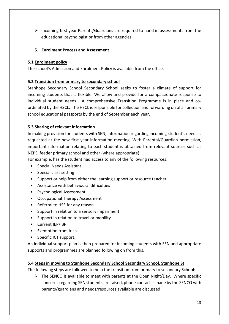$\triangleright$  Incoming first year Parents/Guardians are required to hand in assessments from the educational psychologist or from other agencies.

# **5. Enrolment Process and Assessment**

## **5.1 Enrolment policy**

The school's Admission and Enrolment Policy is available from the office.

# **5.2 Transition from primary to secondary school**

Stanhope Secondary School Secondary School seeks to foster a climate of support for incoming students that is flexible. We allow and provide for a compassionate response to individual student needs. A comprehensive Transition Programme is in place and coordinated by the HSCL. The HSCL is responsible for collection and forwarding on of all primary school educational passports by the end of September each year.

## **5.3 Sharing of relevant information**

In making provision for students with SEN, information regarding incoming student's needs is requested at the new first year information meeting. With Parental/Guardian permission, important information relating to each student is obtained from relevant sources such as NEPS, feeder primary school and other (where appropriate)

For example, has the student had access to any of the following resources:

- Special Needs Assistant
- Special class setting
- Support or help from either the learning support or resource teacher
- Assistance with behavioural difficulties
- Psychological Assessment
- Occupational Therapy Assessment
- Referral to HSE for any reason
- Support in relation to a sensory impairment
- Support in relation to travel or mobility
- Current IEP/IBP.
- Exemption from Irish.
- Specific ICT support.

An individual support plan is then prepared for incoming students with SEN and appropriate supports and programmes are planned following on from this.

## **5.4 Steps in moving to Stanhope Secondary School Secondary School, Stanhope St**

The following steps are followed to help the transition from primary to secondary School:

 $\triangleright$  The SENCO is available to meet with parents at the Open Night/Day. Where specific concerns regarding SEN students are raised, phone contact is made by the SENCO with parents/guardians and needs/resources available are discussed.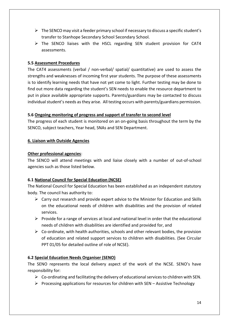- $\triangleright$  The SENCO may visit a feeder primary school if necessary to discuss a specific student's transfer to Stanhope Secondary School Secondary School.
- $\triangleright$  The SENCO liaises with the HSCL regarding SEN student provision for CAT4 assessments.

# **5.5 Assessment Procedures**

The CAT4 assessments (verbal / non-verbal/ spatial/ quantitative) are used to assess the strengths and weaknesses of incoming first year students. The purpose of these assessments is to identify learning needs that have not yet come to light. Further testing may be done to find out more data regarding the student's SEN needs to enable the resource department to put in place available appropriate supports. Parents/guardians may be contacted to discuss individual student's needs as they arise. All testing occurs with parents/guardians permission.

# **5.6 Ongoing monitoring of progress and support of transfer to second level**

The progress of each student is monitored on an on-going basis throughout the term by the SENCO, subject teachers, Year head, SNAs and SEN Department.

# **6. Liaison with Outside Agencies**

## **Other professional agencies**:

The SENCO will attend meetings with and liaise closely with a number of out-of-school agencies such as those listed below.

# **6.1 National Council for Special Education (NCSE)**

The National Council for Special Education has been established as an independent statutory body. The council has authority to:

- $\triangleright$  Carry out research and provide expert advice to the Minister for Education and Skills on the educational needs of children with disabilities and the provision of related services.
- $\triangleright$  Provide for a range of services at local and national level in order that the educational needs of children with disabilities are identified and provided for, and
- $\triangleright$  Co-ordinate, with health authorities, schools and other relevant bodies, the provision of education and related support services to children with disabilities. (See Circular PPT 01/05 for detailed outline of role of NCSE).

## **6.2 Special Education Needs Organiser (SENO)**

The SENO represents the local delivery aspect of the work of the NCSE. SENO's have responsibility for:

- $\triangleright$  Co-ordinating and facilitating the delivery of educational services to children with SEN.
- $\triangleright$  Processing applications for resources for children with SEN Assistive Technology